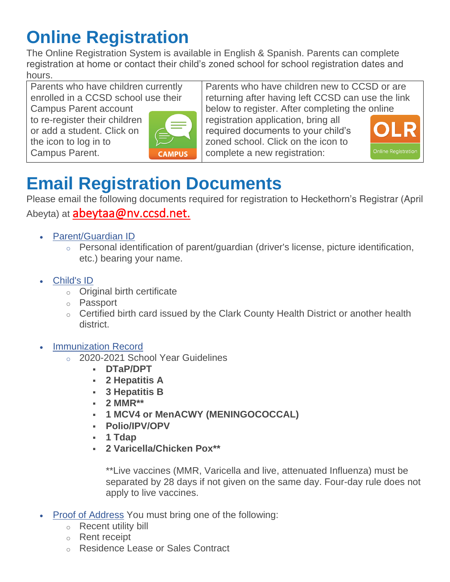# **Online Registration**

The Online Registration System is available in English & Spanish. Parents can complete registration at home or contact their child's zoned school for school registration dates and hours.

Parents who have children currently enrolled in a CCSD school use their

Campus Parent account to re-register their children or add a student. Click on the icon to log in to Campus Parent.



Parents who have children new to CCSD or are returning after having left CCSD can use the link below to register. After completing the online

registration application, bring all required documents to your child's zoned school. Click on the icon to complete a new registration:



# **Email Registration Documents**

Please email the following documents required for registration to Heckethorn's Registrar (April Abeyta) at **[abeytaa@nv.ccsd.net.](mailto:abeytaa@nv.ccsd.net)** 

- [Parent/Guardian ID](https://ccsd.net/parents/enrollment/#yourID)
	- o Personal identification of parent/guardian (driver's license, picture identification, etc.) bearing your name.
- [Child's ID](https://ccsd.net/parents/enrollment/#proofChild)
	- o Original birth certificate
	- o Passport
	- o Certified birth card issued by the Clark County Health District or another health district.
- **[Immunization Record](https://ccsd.net/parents/enrollment/#proofImm)** 
	- o 2020-2021 School Year Guidelines
		- **DTaP/DPT**
		- **2 Hepatitis A**
		- **3 Hepatitis B**
		- **2 MMR\*\***
		- **1 MCV4 or MenACWY (MENINGOCOCCAL)**
		- **Polio/IPV/OPV**
		- **1 Tdap**
		- **2 Varicella/Chicken Pox\*\***

*\*\*Live vaccines (MMR, Varicella and live, attenuated Influenza) must be separated by 28 days if not given on the same day. Four-day rule does not apply to live vaccines.*

- [Proof of Address](https://ccsd.net/parents/enrollment/#proofAddr) You must bring one of the following:
	- o Recent utility bill
	- o Rent receipt
	- o Residence Lease or Sales Contract